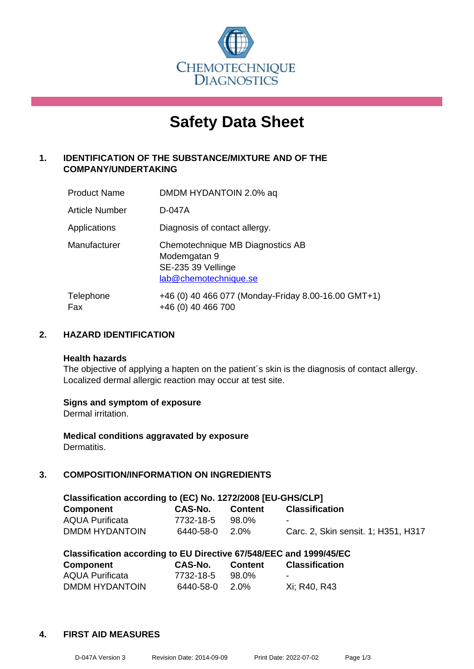

# **Safety Data Sheet**

## **1. IDENTIFICATION OF THE SUBSTANCE/MIXTURE AND OF THE COMPANY/UNDERTAKING**

| <b>Product Name</b>   | DMDM HYDANTOIN 2.0% aq                                                                          |
|-----------------------|-------------------------------------------------------------------------------------------------|
| <b>Article Number</b> | D-047A                                                                                          |
| Applications          | Diagnosis of contact allergy.                                                                   |
| Manufacturer          | Chemotechnique MB Diagnostics AB<br>Modemgatan 9<br>SE-235 39 Vellinge<br>lab@chemotechnique.se |
| Telephone<br>Fax      | +46 (0) 40 466 077 (Monday-Friday 8.00-16.00 GMT+1)<br>+46 (0) 40 466 700                       |

## **2. HAZARD IDENTIFICATION**

#### **Health hazards**

The objective of applying a hapten on the patient's skin is the diagnosis of contact allergy. Localized dermal allergic reaction may occur at test site.

#### **Signs and symptom of exposure**

Dermal irritation.

**Medical conditions aggravated by exposure** Dermatitis.

## **3. COMPOSITION/INFORMATION ON INGREDIENTS**

| Classification according to (EC) No. 1272/2008 [EU-GHS/CLP] |           |                |                                     |  |  |
|-------------------------------------------------------------|-----------|----------------|-------------------------------------|--|--|
| Component                                                   | CAS-No.   | <b>Content</b> | <b>Classification</b>               |  |  |
| <b>AQUA Purificata</b>                                      | 7732-18-5 | 98.0%          | $\overline{\phantom{a}}$            |  |  |
| DMDM HYDANTOIN                                              | 6440-58-0 | 2.0%           | Carc. 2, Skin sensit. 1; H351, H317 |  |  |

| Classification according to EU Directive 67/548/EEC and 1999/45/EC |           |         |                       |  |  |
|--------------------------------------------------------------------|-----------|---------|-----------------------|--|--|
| Component                                                          | CAS-No.   | Content | <b>Classification</b> |  |  |
| <b>AQUA Purificata</b>                                             | 7732-18-5 | 98.0%   | $\sim$                |  |  |
| DMDM HYDANTOIN                                                     | 6440-58-0 | 2.0%    | Xi; R40, R43          |  |  |

#### **4. FIRST AID MEASURES**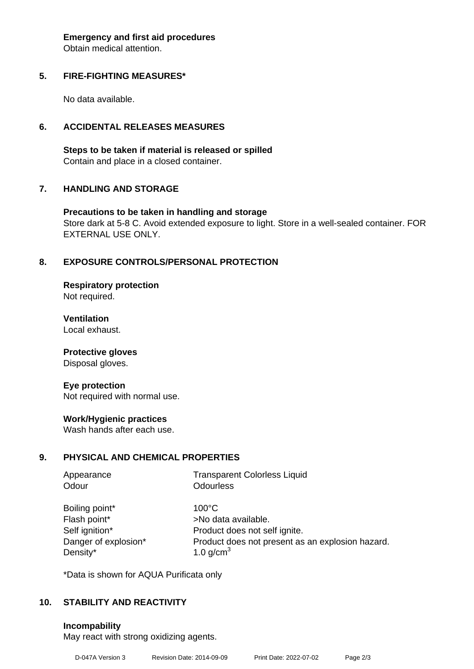**Emergency and first aid procedures**

Obtain medical attention.

### **5. FIRE-FIGHTING MEASURES\***

No data available.

## **6. ACCIDENTAL RELEASES MEASURES**

**Steps to be taken if material is released or spilled** Contain and place in a closed container.

## **7. HANDLING AND STORAGE**

**Precautions to be taken in handling and storage** Store dark at 5-8 C. Avoid extended exposure to light. Store in a well-sealed container. FOR EXTERNAL USE ONLY.

## **8. EXPOSURE CONTROLS/PERSONAL PROTECTION**

**Respiratory protection** Not required.

**Ventilation** Local exhaust.

**Protective gloves**

Disposal gloves.

#### **Eye protection**

Not required with normal use.

#### **Work/Hygienic practices**

Wash hands after each use.

#### **9. PHYSICAL AND CHEMICAL PROPERTIES**

| <b>Transparent Colorless Liquid</b>              |
|--------------------------------------------------|
| <b>Odourless</b>                                 |
| $100^{\circ}$ C                                  |
| >No data available.                              |
| Product does not self ignite.                    |
| Product does not present as an explosion hazard. |
| 1.0 $g/cm3$                                      |
|                                                  |

\*Data is shown for AQUA Purificata only

## **10. STABILITY AND REACTIVITY**

**Incompability**

May react with strong oxidizing agents.